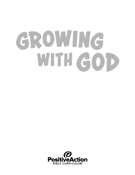# GROWING WITH GOD

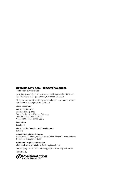#### **Growing with God - Teacher's Manual**

#### First Edition by Cherie Noel

Copyright © 1990, 2005, 2009, 2021 by Positive Action for Christ, Inc. P.O. Box 700, 502 W. Pippen Street, Whitakers, NC 27891

All rights reserved. No part may be reproduced in any manner without permission in writing from the publisher.

positiveaction.org

#### **Fourth Edition, 2021**

Second Printing, 2022 Printed in the United States of America Print ISBN: 978-1-59557-349-0 Digital ISBN: 978-1-59557-350-6

#### **Illustration**

Julie Speer

**Fourth Edition Revision and Development** Jim Lord

#### **Consulting and Contributions** Helen Boen, C.J. Harris, Michelle Harris, Kristi Houser, Duncan Johnson, Christa Lord, Stephanie Smith

**Additional Graphics and Design**

Shannon Brown, Christa Lord, Jim Lord, Jesse Snow

Map imagery derived from maps copyright © 2019, Map Resources.

Published by

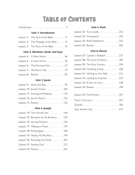# **Table of Contents**

#### **Unit 1: Introduction**

| Lesson 1: The God of the Bible11                     |  |
|------------------------------------------------------|--|
| <b>Lesson 2:</b> The Message of the Bible $\dots$ 21 |  |
| Lesson 3: The Parts of the Bible  32                 |  |

#### **Unit 2: Abraham, Sarah, and Isaac**

| Lesson 4: A New Nation  46    |
|-------------------------------|
| Lesson 5: A New Home56        |
| Lesson 6: The Promised Son 67 |
| Lesson 7: Abraham's Test 77   |
|                               |

#### **Unit 3: Jacob**

| Lesson 9: Jacob and Esau  95     |  |
|----------------------------------|--|
|                                  |  |
| Lesson 11: Sowing and Reaping116 |  |
| Lesson 12: Jacob's Return 126    |  |
|                                  |  |

#### **Unit 4: Joseph**

|  | Lesson 14: The Favorite Son. 144         |
|--|------------------------------------------|
|  | Lesson 15: Betrayed by His Brothers  154 |
|  | Lesson 16: Serving Potiphar 164          |
|  | Lesson 17: Waiting in Prison  174        |
|  | Lesson 18: Ruling Egypt 184              |
|  | Lesson 19: Testing His Brothers 194      |
|  | Lesson 20: Reuniting His Family 205      |
|  | Lesson 21: Seeking God  215              |
|  |                                          |

#### **Unit 5: Ruth**

| Lesson 23: True Loyalty 233     |  |
|---------------------------------|--|
| Lesson 24: Compassion  245      |  |
| Lesson 25: Ruth's Redeemer  255 |  |
|                                 |  |

#### **Unit 6: Daniel**

| Lesson 27: Captive in Babylon 273 |
|-----------------------------------|
| Lesson 28: The God of History 284 |
| Lesson 29: The Fiery Furnace 294  |
| Lesson 30: Humbling a King306     |
| Lesson 31: Writing on the Wall316 |
| Lesson 32: Leading by Example 327 |
| Lesson 33: A Den of Lions338      |
|                                   |
| Lesson 35: Final Review 357       |
|                                   |
|                                   |
|                                   |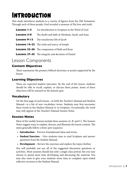# <span id="page-4-0"></span>**Introduction**

This study introduces students to a variety of figures from the Old Testament. Through each of these people, God revealed a measure of His love and truth.

| Lessons 1-3         | An introduction to Scripture as the Word of God           |
|---------------------|-----------------------------------------------------------|
| <b>Lessons 4-8</b>  | The doubt and faith of Abraham, Sarah, and Isaac          |
| <b>Lessons 9-13</b> | The treacherous life of Jacob                             |
|                     | <b>Lessons 14–22</b> The trials and mercy of Joseph       |
|                     | <b>Lessons 23–26</b> The compassion of Ruth and Boaz      |
|                     | <b>Lessons 27-35</b> The integrity and devotion of Daniel |

### Lesson Components

### **Content Objectives**

These summarize the primary biblical doctrines or points supported by the lesson.

### **Learning Objectives**

These are expected student outcomes. By the end of the lesson, students should be able to recall, explain, or discuss these points. Some of these objectives will be assessed in the lesson's quiz.

### **Vocabulary**

On the first page of each lesson—in both the Teacher's Manual and Student Manual—is a list of new vocabulary terms. Students may first encounter these words in the Student Manual or in Scripture. Occasionally, the word may only appear in the Teacher's Manual Session Notes.

### **Session Notes**

Most of the weekly lessons include three sessions (A, B, and C). The Session Notes suggest ways to explain, discuss, and illustrate the lesson content. The notes generally follow a three-part sequence:

- Introduction Preview foundational ideas and terms.
- Student Exercises Give students time to read Scripture and answer questions from the Student Manual.
- Development Review the exercises and explore the topics further.

You will probably not use all of the suggested discussion questions or activities. Most sessions should last only a single class period, but you may choose to spend more time developing and discussing the material. You may also want to give your students more time to complete open-ended reflective sections in the Student Manual.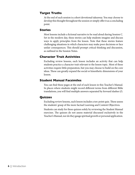### **Target Truths**

At the end of each session is a short devotional takeaway. You may choose to develop this thought throughout the session or simply offer it as a concluding point.

#### **Stories**

Most lessons include a fictional narrative to be read aloud during Session C. Set in the modern day, these stories can help students imagine and discuss ways to apply principles from the lesson. Note that these stories feature challenging situations in which characters may make poor decisions or face unfair consequences. This should prompt critical thinking and discussion, as outlined in the Session Notes.

### **Character Trait Activities**

Excluding review lessons, each lesson includes an activity that can help students practice a character trait relevant to the lesson topic. Most of these activities require little preparation, but you may choose to build on the core ideas. These can greatly expand the social or kinesthetic dimensions of your lesson.

### **Student Manual Facsimiles**

You can find these pages at the end of each lesson in this Teacher's Manual. In places where students might record different terms from different Bible translations, you will find multiple answers separated by forward slashes (/).

### **Quizzes**

Excluding review lessons, each lesson includes a ten-point quiz. These assess the students' grasp of the more factual Learning and Content Objectives.

Students can study for these quizzes solely by reviewing the Student Manual exercises. The quizzes do not assess material discussed exclusively in the Teacher's Manual, nor do they gauge spiritual growth or personal application.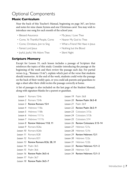### Optional Components

### **Music Curriculum**

Near the back of this Teacher's Manual, beginning on page 367, are lyrics and notes for nine classic hymns and one Christmas carol. You may wish to introduce one song for each month of the school year.

- 
- Blessed Assurance My Jesus, I Love Thee
- Come, Ye Thankful People, Come Nearer My God to Thee
- 
- Come, Christians, Join to Sing What a Friend We Have in Jesus
- Fairest Lord Jesus  **Nothing but the Blood**
- Joyful, Joyful, We Adore Thee Silent Night
- 

### **Scripture Memory**

Except for Lesson 35, each lesson includes a passage of Scripture that reinforces the topics of this study. Consider introducing the passage at the beginning of the week and then review the passage each day. For partial verses (e.g., "Romans 15:4a"), explain which part of the verse that students should memorize. At the end of the week, students could write the passage on the back of their weekly quiz, or you could ask parents and guardians to sign a sheet after their child recites the passage correctly at home.

A list of passages is also included on the last page of the Student Manual, along with signature blanks for a parent or guardian.

| Lesson 1 Romans 15:4a                | Lesson $19$ Psalm $36:8$             |
|--------------------------------------|--------------------------------------|
| Lesson 2 Romans 15:4b                | Lesson 20 Review Psalm 36:5–8        |
| Lesson 3 Review Romans 15:4          | Lesson $21$ Psalm $36.9$             |
| Lesson 4 Hebrews 11:8a               | $l$ esson $22$ Review Psalm $36:5-9$ |
| Lesson 5 Hebrews 11:8b               | Lesson 23 Colossians 3:13a           |
| Lesson 6 Hebrews 11:11a              | Lesson 24 Colossians 3:13b           |
| Lesson 7 Hebrews 11:11b              | Lesson 25 Colossians 3:14            |
| Lesson 8 Review Hebrews 11:8, 11     | Lesson 26 Review Colossians 3:13-14  |
| Lesson 9 Romans 8:26a                | Lesson 27 Hebrews 12:1a              |
| Lesson 10 Romans 8:26b               | Lesson 28 Hebrews 12:1b              |
| Lesson 11 Romans 8:28                | Lesson 29 Review Hebrews 12:1        |
| Lesson 12 Romans 8:31                | Lesson 30 Hebrews 12:2a              |
| Lesson 13 Review Romans 8:26, 28, 31 | Lesson 31 Hebrews 12:2b              |
| Lesson 14 Psalm 36:5                 | Lesson 32 Review Hebrews 12:1-2      |
| Lesson $15$ Psalm $36:6$             | Lesson 33 Hebrews 12:3               |
| Lesson 16 Review Psalm 36:5-6        | Lesson 34 Review Hebrews 12:1-3      |
| Lesson 17 Psalm 36:7                 |                                      |
| Lesson 18 Review Psalm 36:5-7        |                                      |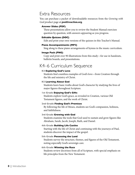### Extra Resources

You can purchase a packet of downloadable resources from the *Growing with God* product page at positiveaction.org.

#### **Answer Slides (PDF)**

These presentations allow you to review the Student Manual exercises question by question, with answers appearing as you progress.

#### **Editable Quizzes (DOC)**

Edit and print your own versions of the quizzes in this Teacher's Manual.

#### **Piano Accompaniments (MP3)**

Sing along to these piano arrangements of hymns in the music curriculum.

#### **Image Pack (PNG)**

Copy and print over 90 illustrations from this study—for use in handouts, bulletin boards, and presentations.

### K4–6 Curriculum Sequence

#### **K4 Exploring God's Love**

Students find countless examples of God's love—from Creation through the life and ministry of Christ.

#### **K5 Learning About God**

Students learn basic truths about God's character by studying the lives of major figures throughout Scripture.

#### **1st Grade Enjoying God's Gifts**

Students explore God's grace, as revealed in Creation, various Old Testament figures, and the work of Christ.

#### **2nd Grade Finding God's Promises**

By following the life of Moses, students see God's compassion, holiness, and faithfulness.

#### **3rd Grade Growing with God**

Students examine the tools that God used to sustain and grow figures like Abraham, Sarah, Jacob, Joseph, Ruth, and Daniel.

#### **4th Grade Building Life Castles**

Starting with the life of Christ and continuing with the journeys of Paul, students discover the impact of the gospel.

#### **5th Grade Possessing the Land**

Students survey the structure, themes, and figures of the Old Testament, noting especially God's sovereign care.

#### **6th Grade Winning the Race**

Students review doctrines from all of Scripture, with special emphasis on life principles from the New Testament.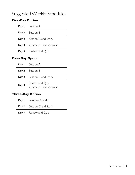### Suggested Weekly Schedules

### **Five-Day Option**

|               | Day 1 Session A                       |  |  |  |
|---------------|---------------------------------------|--|--|--|
|               | <b>Day 2</b> Session B                |  |  |  |
|               | <b>Day 3</b> Session C and Story      |  |  |  |
|               | <b>Day 4</b> Character Trait Activity |  |  |  |
|               | <b>Day 5</b> Review and Quiz          |  |  |  |
| ur-Day Option |                                       |  |  |  |

### **Four-Day Option**

|       | <b>Day 1</b> Session A                      |
|-------|---------------------------------------------|
|       | <b>Day 2</b> Session B                      |
|       | <b>Day 3</b> Session C and Story            |
| Day 4 | Review and Quiz<br>Character Trait Activity |

### **Three-Day Option**

| <b>Day 1</b> Sessions A and B |
|-------------------------------|
| Day 2 Session C and Story     |
| <b>Day 3</b> Review and Quiz  |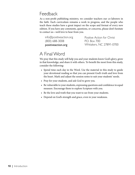### Feedback

As a non-profit publishing ministry, we consider teachers our co-laborers in the faith. Each curriculum remains a work in progress, and the people who teach these studies have a great impact on the scope and format of every new edition. If you have any comments, questions, or concerns, please don't hesitate to contact us—we'd love to hear from you.

| positiveaction.org      |  |
|-------------------------|--|
| $(800)$ 688-3008        |  |
| info@positiveaction.org |  |

Positive Action for Christ P.O. Box 700 Whitakers, NC 27891-0700

### A Final Word

We pray that this study will help you and your students know God's glory, grow in that knowledge, and share it with others. To benefit the most from this study, consider the following:

- Spend time each day in the Word. Use the material in this study to guide your devotional reading so that you can present God's truth and love from the heart. Mark and adjust the session notes to suit your students' needs.
- Pray for your students, and ask God to grow you.
- Be vulnerable to your students, expressing questions and confidence in equal measure. Encourage them to explore Scripture with you.
- Be the love and truth that you want to see from your students.
- Depend on God's strength and grace, even in your weakness.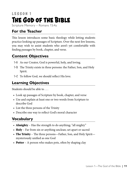# <span id="page-10-0"></span>**LESSON 1 The God of the Bible**

Scripture Memory – Romans 15:4a

### **For the Teacher**

This lesson introduces some basic theology while letting students practice looking up passages of Scripture. Over the next few lessons, you may wish to assist students who aren't yet comfortable with finding passages by book, chapter, and verse.

### **Content Objectives**

- **1-A** As our Creator, God is powerful, holy, and loving.
- **1-B** The Trinity exists in three persons: the Father, Son, and Holy Spirit.
- **1-C** To follow God, we should reflect His love.

### **Learning Objectives**

Students should be able to . . .

- Look up passages of Scripture by book, chapter, and verse
- Use and explain at least one or two words from Scripture to describe God
- List the three persons of the Trinity
- Describe one way to reflect God's moral character

### **Vocabulary**

- Almighty Has the strength to do anything; "all mighty"
- Holy Far from sin or anything unclean; set apart or sacred
- The Trinity The three persons—Father, Son, and Holy Spirit mysteriously unified as one God
- **Potter** A person who makes pots, often by shaping clay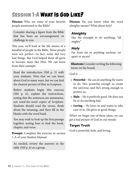# **Session 1-A What Is God Like?**

**Discuss:** Who are some of your favorite people mentioned in the Bible?

Consider sharing a figure from the Bible that has been an encouragement or challenge to you.

This year, we'll look at the life stories of a handful of people in the Bible. These people were not perfect—in fact, some did very bad things. But God helped them all grow to become more like Him. We can learn from their example.

Read the introduction (SM p. 5) with your students. Note that we can learn about God in many ways, but we can find the clearest picture of Him in Scripture.

Before students begin this exercise (SM p. 6), explain the instructions, noting that the sentences are summaries, not word-for-word copies of Scripture. Students should read the verses, think about the meaning, and then fill in the blanks with the word bank.

You may wish to look up the first passage together, noting how to find the book, chapter, and verse.

**Prompt:** Complete the exercise in section 1-A of your Student Manual.

As needed, review the answers in the table (SM p. 6) as a group.

**Discuss:** Do you know what the word *almighty* means? What about *holy*?

### *Almighty*

Has the strength to do anything; "all mighty"

### *Holy*

Far from sin or anything unclean; set apart or sacred

Illustrate: Consider writing the following terms on the board:

God is  $\ldots$ 

- **Powerful** He can do anything He wants to do. He's powerful enough to create the universe, and He's strong enough to protect us.
- **Holy** He is perfectly good. He does not lie or do anything bad.
- Loving He loves us and wants to take care of us. He gives us good things.

When we forget one of these ideas, we can get a bad picture of God in our minds.

### **Target Truth**

God is powerful, holy, and loving.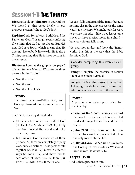# **Session 1-B The Trinity**

Discuss: Look up John 3:16 in your Bibles. We looked at this verse briefly in our previous session. Who is God's Son?

**Explain:** God's Son is Jesus. Both He and the Father are God. This might seem confusing if we think that God is just like us. But He's not. God is a Spirit, which means that He does not have a body like we do. He is also a Trinity, meaning that He is three persons in one essence.

**Illustrate:** Look at the graphic on page 7 of your Student Manual. Who are the three persons in the Trinity?

- God the Father
- God the Son
- God the Holy Spirit

### *Trinity*

The three persons—Father, Son, and Holy Spirit—mysteriously unified as one God

The Trinity is a very difficult idea.

- Christians believe in one unified God (cf. Deut. 6:4–5; Mark 12:29–30). Only one God created the world and rules over everything.
- But this one God is made up of three persons. All three are completely, equally God, but also distinct. These persons talk together (cf. John 17), move in different ways (cf. John 16:7), and show love to each other (cf. Matt. 3:16–17; John 6:38; 17:24)—all within this three-in-one.

We can't fully understand the Trinity because nothing else in the universe works the same way. It is a mystery. We might look for ways to picture this idea—like three leaves on a clover or three musical notes in a chord but every picture falls short.

We may not understand how the Trinity works, but this is the way that the Bible describes God.

Consider completing this exercise as a group.

Prompt: Complete the exercise in section 1-B of your Student Manual.

As you review the answers, note the following vocabulary term, as well as additional notes for three of the verses.

### *Potter*

A person who makes pots, often by shaping clay

- Isaiah 64:8—A *potter* makes a pot just the way he or she wants. Likewise, God works all things toward the end that He wants.
- **John 20:31**—The Book of John was written to show that Jesus is God. He is the only way to eternal life.
- **Galatians 5:25**—When we believe Jesus, the Holy Spirit lives inside us. We should live the way He wants us to.

### **Target Truth**

God is three persons in one.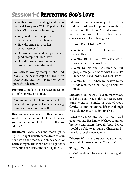# **Session 1-C Reflecting God's Love**

Begin this session by reading the story on the next two pages ("The Papadopoulis Pedalers"). Discuss the following:

- Why might some people be embarrassed by their family?
- How did Anna get over her embarrassment?
- Did Anna's mom and dad give her a good example of love? How?
- How did Anna show love to her brother Jason after the race?

We learn to love by example—and God gives us the best example of love. If we show godly love, we'll show that we're part of God's family.

**Prompt:** Complete the exercises in section 1-C of your Student Manual.

Ask volunteers to share some of their most-admired people. Consider sharing someone you admire, as well.

**Discuss:** When we admire others, we often want to become more like them. How can you become more like the people that you admire?

**Illustrate:** Where does the moon get its light? The light actually comes from the sun, bounces off the moon, and shines down on Earth at night. The moon has no light of its own, but it can reflect the sun's light to us.

Likewise, we humans are very different from God. We don't have His power or goodness, but we can reflect Him. As God shows love to us, we can show His love to others. People can learn about God through us.

### Explain: Read 1 John 4:7–15.

- Verse 7—Followers of Jesus will love each other.
- Verses 10–11—We love each other because God first loved us.
- Verse 12-No one has seen God, but people can get a hint of what He is like by seeing His followers love each other.
- Verses 13, 15—When we believe Jesus, God's Son, then God the Spirit will live in us.

**Explain:** God shows us love in many ways, and the biggest way is through Jesus. Jesus came to Earth to make us part of God's family. He offers us eternal life even though we could never earn it for ourselves.

When we believe and trust in Jesus, God adopts us into His family. We have countless brothers and sisters through Jesus. People should be able to recognize Christians by their love for this new family.

**Discuss:** What are some ways you can show love and kindness to other Christians?

### **Target Truth**

Christians should be known for their godly love.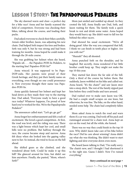# **Lesson 1 Story: The Papadopoulis Pedalers**

The sky dawned warm and clear—a perfect day for a bike race! Anna and her family scanned the field of competitors. Everyone was checking their bikes, talking about the course, and loading their packs.

Dad asked everyone to check their bikes carefully. Anna's older brother, Jason, was adjusting his new chain. Dad helped Seth inspect his tires and brakes. Seth was only 9, but he was strong and had been training for months. Anna hoped he could make it through the 28-mile course.

She was grabbing her helmet when she heard, "Papado-uh . . . the Papadoo-POH-lis Pedalers, to the starting line! Papadoo-POH-lis?"

Anna winced. It was supposed to be Papa-DOP-oulis. Her parents were proud of their Greek heritage, and they put their family name on everything, even though no one could pronounce it. Now everyone thought their name was Papadoo-POH-lis.

Anna quickly fastened her helmet and kept her head down as they made their way to the starting line. Dad asked, "Everyone ready to have a good race today? Whatever happens, I'm proud of how hard you've worked for this. We're the Papadopoulis Pedalers!"

The announcer called start. "Let's go, go, go!"

Anna forgot her embarrassment and felt a rush of excitement. She loved a good competition. At first, the road was level, and the riding was easy. There was a light breeze which kept her cool, and small hills were no problem. But halfway through the race, the course became steep and narrow. Anna felt dizzy when she looked into the gaping valley next to her. So instead, she tried to focus on the hill ahead.

She shifted gears as she climbed, and she wondered about Seth. Could he make it up this hill? She glanced around for him, but didn't see him anywhere. Finally, she panted, "Mom, where's Seth?"

Mom just smiled and nodded up ahead. As they crested the hill, Anna finally saw Dad, Seth, and Jason waiting for them. The family took a quick break to rest and drink some water. Anna hoped they would hurry up. She didn't want to fall too far behind the other racers.

Dad showed his usual excitement. "We're all doing great! After the way you conquered that hill, I think we can finish in tenth place or higher. Are you with me?"

"Huzzah!" they all shouted.

Anna punched Seth on the shoulder, and he laughed. But secretly, Anna wondered if her little brother could keep up. They might not make the top 10 this year.

They started fast down the far side of the hill. Only a third of the course lay before them. But suddenly, Jason wobbled on his bike and called out. Anna heard, "It's the chain!" and saw Jason steer into a steep ditch. The rest of the family zipped past him before they could brake and turn around.

Dad rushed over to make sure Jason was OK. He had a couple small scrapes on one knee, but otherwise, he was fine. The bike, on the other hand, needed some help. The chain had completely fallen off.

Mom asked Anna to watch the road and warn them if a car was coming. Dad took off his pack and rummaged around for a chain tool. Anna kept an eye on the road, but all the while, she fumed.

There was no way they could finish in the top 10 now. Why didn't Jason take care of his bike before the race? Did he care about winning? Anna didn't say what she was thinking. She didn't want to start fighting and slow everyone down even more.

She heard Jason talking to Dad, "I'm really sorry. The chain's new, and I thought I had shortened it to the right size. Guess I didn't. Now I've ruined everything."

#### *Story continued on next page »*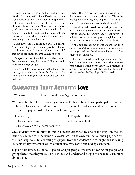Jason sounded devastated, but Dad punched his shoulder and said, "It's OK—delays happen. God allows problems, and it's how we respond that matters. Anyway, it was a good idea to replace your old chain before the race. Next time, I can show you how to measure it correctly. For now, let's finish strong!" Thankfully, Dad had the right tool, and it took only about three minutes to remove a few links and get the chain back on.

Mom gave Anna a quick hug and said quietly, "Thanks for staying focused and positive. I knew I could count on you." Anna was glad that she hadn't said any of the things she was thinking before.

Everyone was on their bikes in a flash. When Dad counted to three, they shouted, "Papadopoulis Pedalers! Let's go, go, go!"

Mom, Dad, Jason, Anna, and Seth all took turns leading and watching out for traffic. For the last few miles, they encouraged each other and gave their best effort.

When they crossed the finish line, Anna heard the announcer say over the loudspeaker, "Here's the Papdopoulis Pedalers, finishing with a time of two hours, 28 minutes, and 46 seconds. Great job!"

After they had cooled down and put away the bikes, the family enjoyed a picnic lunch together. During the award ceremony, they were all surprised to learn that their time was good enough for second place—and just one minute behind first place!

Anna pumped her fist in excitement. But then she saw Jason's face, which showed a mix of sadness and anger. He knew that they would have won if his chain hadn't fallen off.

This time, Anna decided to speak her mind. "We both know we can win next time. After another year of riding, we'll be even faster. We'll check each other's bikes and land first place as a family. People will remember the Papadopoulis Pedalers!"

### **Character Trait Activity: Love**

We show **love** to people when we do what's good for them.

We can better show love by learning more about others. Students will participate in a simple ice breaker to learn more about some of their classmates. Ask each student to number 1–5 on a piece of paper. Write a list like the following on the board.

- 
- 1. Owns a pet 4. Plays basketball
- 2. Has broken a bone 5. Is an only child
- 3. Has traveled to a different country

Give students three minutes to find classmates described by one of the items on the list. Students should write the name of a classmate next to each number on their papers. After the time is up, consider collecting the papers from the students. Go through the list, asking students if they remember which of their classmates are described by each item.

Explain that love seeks good *in* people and *for* people. We love by caring for people and giving them what they need. To better love and understand people, we need to learn more about them.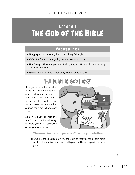# LESSON 1 **The God of the Bible**

### **Voc abular y**

- *Almighty* Has the strength to do anything; "all mighty"
- *Holy* Far from sin or anything unclean; set apart or sacred
- *The Trinity* The three persons—Father, Son, and Holy Spirit—mysteriously unified as one God
- *Potter* A person who makes pots, often by shaping clay

# **1-A** What Is God Like?

Have you ever gotten a letter in the mail? Imagine opening your mailbox and finding a letter from the most important person in the world. This person wrote the letter so that you two could get to know each other.

What would you do with this letter? Would you throw it away, or would you read it carefully? Would you write back?



#### The most important person *did* write you a letter.

The God of the universe gave you the Bible so that you could learn more about Him. He wants a relationship with you, and He wants you to be more like Him.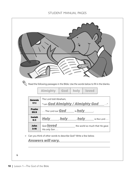### STUDENT MANUAL PAGES

|                        | Read the following passages in the Bible. Use the words below to fill in the blanks.                                                               |
|------------------------|----------------------------------------------------------------------------------------------------------------------------------------------------|
|                        | <b>Almighty</b><br>holy<br><b>loved</b><br>God                                                                                                     |
| <b>Genesis</b><br>17:1 | The Lord told Abraham,<br>"I am God Almighty / Almighty God<br>$\cdots$                                                                            |
| <b>Psalm</b><br>99:9   | The Lord our <b>God</b> is <b>holy</b>                                                                                                             |
| <b>Isaiah</b><br>6:3   | <u>Holy</u><br>holy<br>holy is the Lord                                                                                                            |
| John<br>3:16           | God <b>loved</b><br>the world so much that He gave<br>His only Son                                                                                 |
| $\blacktriangleright$  | Can you think of other words to describe God? Write a few below.<br><u>Answers will vary.</u><br><u> 1989 - Johann Barbara, martxa alemaniar a</u> |
| 6                      |                                                                                                                                                    |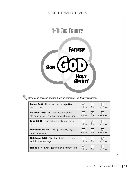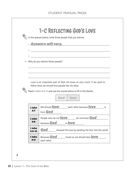|                      | In the spaces below, write three people that you admire.                         |
|----------------------|----------------------------------------------------------------------------------|
|                      | <b>• Answers will vary.</b>                                                      |
|                      | <u> 1980 - Andrea Andrew Maria (h. 1980).</u>                                    |
| $_{\odot}$           | <u> 1989 - Andrea Branden, amerikansk politik (d. 1989)</u>                      |
| $_{\odot}$           | <u> 1980 - Jan Alexandri, fransk politik (d. 1980)</u>                           |
|                      | $\triangleright$ Why do you admire these people?                                 |
|                      |                                                                                  |
|                      |                                                                                  |
|                      | ,我们也不能在这里的时候,我们也不能在这里的时候,我们也不能会在这里的时候,我们也不能会在这里的时候,我们也不能会在这里的时候,我们也不能会在这里的时候,我们也 |
|                      |                                                                                  |
|                      | Love is an important part of God. He loves us very much. If we want to           |
|                      | follow God, we should love people like He does.                                  |
|                      | Read 1 John 4:7-11 and use the words below to fill in the blanks.                |
|                      |                                                                                  |
|                      | God   love                                                                       |
|                      |                                                                                  |
| 1 John<br>4:7        | We should <b>fove</b> each other because <b>fove</b> is<br>from <b>God</b>       |
|                      |                                                                                  |
| 1 John<br>4:8        | People who do not <b>LOVE</b> do not know <b>God</b>                             |
|                      | is <b>love</b><br>because <b>God</b>                                             |
| 1 John<br>$4:9 - 10$ | God<br>showed His love by sending His Son into the world.                        |
| 1 John               | Because God<br>loved us, we should also love                                     |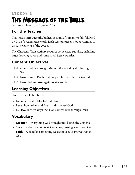# <span id="page-20-0"></span>**LESSON 2 The Message of the Bible**

Scripture Memory – Romans 15:4b

### **For the Teacher**

This lesson introduces the biblical account of humanity's fall, followed by Christ's redemptive work. Each session presents opportunities to discuss elements of the gospel.

The Character Trait Activity requires some extra supplies, including large drawing paper and some small jigsaw puzzles.

### **Content Objectives**

- **2-A** Adam and Eve brought sin into the world by disobeying God.
- **2-B** Jesus came to Earth to show people the path back to God.
- **2-C** Jesus died and rose again to give us life.

### **Learning Objectives**

Students should be able to . . .

- Define *sin* as it relates to God's law
- Recall how Adam and Eve first disobeyed God
- List two or three ways that God showed love through Jesus

### **Vocabulary**

- Creation Everything God brought into being; the universe
- $Sin$  The decision to break God's law; turning away from God
- Faith A belief in something we cannot see or prove; trust in God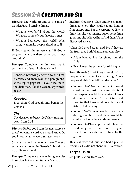# **Session 2-A Creation and Sin**

**Discuss:** The world around us is a mix of wonderful and terrible things.

- What is wonderful about the world? What are some of your favorite things?
- What is bad about the world? What things can make people afraid or sad?

If God created the universe, and if God is so good, why are there some bad things around us?

**Prompt:** Complete the first exercise in section 2-A of your Student Manual.

Consider reviewing answers to the first exercise, and then read the paragraphs at the top of page 10. As you read, note the definitions for the vocabulary words below.

### *Creation*

Everything God brought into being; the universe

### *Sin*

The decision to break God's law; turning away from God

Discuss: Before you begin the next exercise, there's one more word you should know. Do you know what the word *serpent* means?

*Serpent* is an old name for a snake. There's a serpent mentioned in Genesis 2, but this is no ordinary animal.

**Prompt:** Complete the remaining exercise in section 2-A of your Student Manual.

**Explain:** God gave Adam and Eve so many things to enjoy. They could eat any kind of fruit except one. But the serpent led Eve to think that she was missing out on something good, and she believed him. And then Adam disobeyed, as well.

When God asked Adam and Eve if they ate the fruit, they both blamed someone else.

- Adam blamed Eve for giving him the fruit.
- Eve blamed the serpent for tricking her.

Read Genesis 3:14-19. As a result of sin, people would now face suffering. Some people call this "the Fall" or "the curse."

- Verses 14–15—The serpent would crawl in the dust. The descendants of the serpent would be enemies of Eve's descendants. Verse 15 is a picture and promise that Jesus would one day defeat Satan, God's enemy.
- Verse 16-Women would have pain during childbirth, and there would be conflict between husbands and wives.
- Verses 17–19—People would have to work very hard to get food. Everyone would one day die and return to the ground.

This is all very sad, but God had a plan to rescue us. He did not abandon His creation.

### **Target Truth**

Sin pulls us away from God.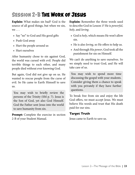# **Session 2-B The Work of Jesus**

Explain: What makes sin bad? God is the source of all good things, but when we sin, we . . .

- Say "no" to God and His good gifts
- Push God away
- Hurt the people around us
- Hurt ourselves

After humanity chose to sin against God, the world was cursed with evil. People did terrible things to each other, and many people died without ever knowing God.

But again, God did not give up on us. He wanted to rescue people from the curse of evil. So He came to Earth Himself to save us.

You may wish to briefly review the persons of the Trinity (SM p. 7). Jesus is the Son of God, yet also God Himself. God the Father sent Jesus into the world to save humanity from sin.

Prompt: Complete the exercise in section 2-B of your Student Manual.

Explain: Remember the three words used to describe God in Lesson 1? He is *powerful*, *holy*, and *loving*.

- God is *holy*, which means He won't allow sin.
- He is also *loving*, so He offers to help us.
- And through His *power*, God took all the punishment for sin on Himself.

We can't do anything to save ourselves. So we simply need to trust God, and He will take care of us.

You may wish to spend more time discussing the gospel with your students. Consider giving them a chance to speak with you privately if they have further questions.

To break free from sin and enjoy the life God offers, we must accept Jesus. We must believe His words and trust that His death paid for our sins.

### **Target Truth**

Jesus came to Earth to save us.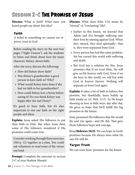# **Session 2-C The Promise of Jesus**

Discuss: What is *faith*? What have you heard people say about this idea?

### *Faith*

A belief in something we cannot see or prove; trust in God

Before reading the story on the next two pages ("Sight Unseen"), ask the students to listen and think about how the main character, Kelsey, shows faith.

After the story, discuss the following:

- How did Kelsey show faith?
- Was Kelsey's grandmother a good person to have faith in? Why?
- What would Kelsey have done if she had no faith in her grandmother?
- How could Kelsey love a horse before seeing it? Do you think Kelsey was happy after she met Dusty?

It's good to have faith, but it's also important to rest our faith on the right people and ideas.

**Explain:** Jesus asked His followers to put their faith in Him. But when Jesus died, some of His followers wondered if His promises could come true.

Consider working through these exercises (SM p. 12) together as a class. You could ask volunteers to read some of the verses out loud.

**Prompt:** Complete the exercises in section 2-C of your Student Manual.

**Discuss:** What does John 3:16 mean by "eternal" or "everlasting" life?

- Earlier in this lesson, we learned that Adam and Eve brought suffering into their lives by sinning against God. When they sinned, they died spiritually—that is, they were separated from God.
- Every person has had this same problem. Sin has cursed this world with suffering and death.
- But God has a solution for this. Jesus promises that if we trust Him, He will give us life forever with God. Even if we die here in this world, we will live with God in heaven forever. Nothing will separate us from God again.

**Explain:** It takes a lot of faith to believe this promise, but thankfully, Jesus builds up faith inside us (cf. Heb. 12:2). As He keeps showing us love in little ways, day after day, He gives us hope that He'll fulfill His big promises in the future.

Jesus promised His followers that He would die and rise again—and He did. That gave those followers hope and courage.

Read Hebrews 10:23. We can hope in God's promises because He always does what He says He will do.

### **Target Truth**

We can trust Jesus' promises for the future.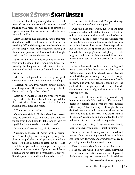# **Lesson 2 Story: Sight Unseen**

The wind blew through Kelsey's hair as the truck bounced over the country roads. After two days of traveling with Mom, she was ready to stretch her legs and run free. She just wasn't sure what her new life would be like.

After Grandpop had died from cancer last year, Grandmom had been left alone on the old farm. She was doing OK, and the neighbors saw her often, but she was happy when Mom suggested moving in. They would "join forces," Mom said. She thought that's what God wanted them to do.

It was hard for Kelsey to leave behind her friends from middle school, but Grandmom's house was probably the happiest place she knew. She was determined to help Mom and Grandmom make this work.

After the truck pulled into the overgrown yard, Kelsey jumped out to give Grandmom a big hug.

"Kelsey! I'm so glad you're here—finally! Let's get your things inside. Do you need anything to drink? I have snacks ready in the kitchen."

Later, they walked around the property. When they reached the barn, Grandmom opened the big, creaky door. Kelsey was surprised to find the building dark, quiet, and empty.

"Where are the horses?" asked Kelsey.

Grandmom sighed. "Before Grandpop passed away, he boarded Dusty and Rose at a stable not too far from here. I couldn't take care of them by myself. But I want to talk to you about that."

"About what?" Mom asked, a little nervous.

Grandmom looked at Kelsey with a serious face. "I was hoping that you might try to get this place in shape." She started pointing around the barn. "We need someone to clean out the stalls, re-set the hinges on those doors, get fresh hay, and maybe repaint the outside. If you can do all that in a month, we can bring the horses home. Dusty was Grandpop's favorite, and I want her to be yours."

Kelsey froze for just a second. "Are you kidding? That's awesome! Let's make it happen!"

Over the next four weeks, Kelsey spent time almost every day in the stable. She shoveled out the old hay and manure, then used the wheelbarrow to dump it in the compost pile for Grandmom's garden. Kelsey watched a few videos to learn how to replace broken door hinges. Mom kept telling her to watch out for splinters and rusty old nails. Thankfully, Grandpop's shed had plenty of tools in great condition, and Mom showed Kelsey how to use a miter saw to cut new boards for the door frame.

After a few weeks, only a little cleaning and painting was left, but there was a problem. One of Kelsey's new friends from church had invited her to a birthday party. Kelsey really wanted to go, especially since she wanted to make more friends in town. But with her deadline coming up, she couldn't afford to give up a whole day of work. Grandmom couldn't help, and Mom was too busy with her new job.

Kelsey talked to Mom while they were driving home from church. Mom said that Kelsey should decide for herself—and accept the consequences either way. After thinking it through, Kelsey decided that she would continue working on the stable and not go to the party. She didn't want to disappoint Grandmom, and she wanted the horses to have a safe, clean home when they arrived.

"Besides," said Kelsey, "I can invite my friends over to ride Dusty sometime. First things first."

Over the next week, Kelsey sanded, cleaned, and painted almost everything around the barn. Mom got some hay delivered, and everything was ready just a day before the horses would come.

Kelsey brought Grandmom out to the barn to see the finished work. "See how clean everything is? The doors don't stick anymore, and I greased the hinges so they don't even creak. I painted those

#### *Story continued on next page »*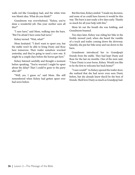walls red like Grandpop had, and the white trim was Mom's idea. What do you think?"

Grandmom was overwhelmed. "Kelsey, you've done a wonderful job. Has your mother seen all this?"

"I sure have," said Mom, walking into the barn. "But I'm afraid I have some bad news."

Kelsey turned. "Wait, what?"

Mom hesitated. "I don't want to upset you, but the stable won't be able to bring Dusty and Rose here tomorrow. Their trailer somehow wrecked yesterday, and they're going to need a new one. It might be a couple days before the horses get here."

Kelsey listened carefully and thought a moment before speaking. "You're worried I might be upset about the delay? That I could've gone to the party after all?"

"Well, yes, I guess so," said Mom. She still remembered when Kelsey had gotten upset over bad news before.

But this time, Kelsey smiled. "I made my decision, and none of us could have known it would be this way. The barn is just ready a few days early. Thanks so much for all your help with this."

Mom let out the breath she was holding, and Grandmom beamed.

Two days later, Kelsey was riding her bike in the freshly mowed yard, when she heard the rumble of a truck and trailer coming down the driveway. Quickly, she put her bike away and ran down to the barn.

Grandmom introduced her to Grandpop's friends from the stable. They had kept Dusty and Rose for the last six months. One of the men said, "I hear Dusty is your horse, Kelsey. Would you like to be the first to welcome her back home?"

"I sure would!" As Kelsey opened the trailer door, she realized that she had never even seen Dusty before, but she already knew they'd be the best of friends. She'd love Dusty as much as Grandpop had.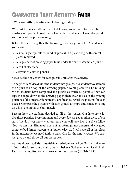# **Character Trait Activity: Faith**

We show **faith** by trusting and following God's plan.

We don't know everything that God knows, so we have to trust Him. To illustrate our partial knowledge of God's plan, students will assemble puzzles with some of the pieces missing.

Before the activity, gather the following for each group of 5–6 students in your class:

- A small jigsaw puzzle (around 20 pieces) in a plastic bag, with several pieces removed
- A large sheet of drawing paper to lie under the entire assembled puzzle
- A roll of clear tape
- Crayons or colored pencils

Set aside the box covers for each puzzle until after the activity.

To begin the activity, divide the students into groups. Ask students to assemble their puzzles on top of the drawing paper. Several pieces will be missing. When students have completed the puzzle as much as possible, they can tape the edges down to the drawing paper, then draw and color the missing portions of the image. After students are finished, reveal the pictures for each puzzle. Compare the pictures with each group's attempt, and consider voting on which attempt is the best match.

Discuss how the students decided to fill in the spaces. Our lives are a lot like these puzzles. Every moment and every day, we get another piece of our story. We don't yet know what our entire life will look like, but if we follow God, we can trust Him to take care of us. We might not understand why good things or bad things happen to us, but one day, God will make all of that clear. In the meantime, we need faith to trust Him for the empty spaces. We can't just give up and throw all our pieces away.

As time allows, read **Matthew 6:25–34**. We don't know how God will take care of us in the future, but by faith, we can believe God even when it's difficult. Faith is trusting God for what we cannot see or prove (cf. Heb. 11:1).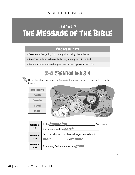# LESSON 2 **The Message of the Bible**

### **Voc abular y**

- *Creation* Everything God brought into being; the universe
- *Sin* The decision to break God's law; turning away from God
- *Faith* A belief in something we cannot see or prove; trust in God

### **2-A** Creation and Sin

Read the following verses in Genesis 1 and use the words below to fill in the blanks.



| <b>Genesis</b>  | In the <b>beginning</b><br>God created         |
|-----------------|------------------------------------------------|
| 1:1             | the heavens and the <b>earth</b>               |
| <b>Genesis</b>  | God made humans in His own image. He made both |
| 1:27            | and <b>female</b><br>male                      |
| Genesis<br>1:31 | Everything God made was very <b>good</b>       |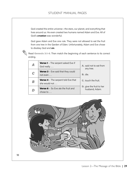God created the entire universe—the stars, our planet, and everything that lives around us. He even created two humans named Adam and Eve. All of God's *creation* was wonderful.

God gave Adam and Eve one rule. They were not allowed to eat the fruit from one tree in the Garden of Eden. Unfortunately, Adam and Eve chose to disobey God and *sin*.



Read Genesis 3:1-6. Then match the beginning of each sentence to its correct ending.

|   | <b>Verse 1</b> – The serpent asked Eve if<br>God really        | A. said not to eat from<br>any tree.                   |
|---|----------------------------------------------------------------|--------------------------------------------------------|
| C | <b>Verse 3</b> - Eve said that they could<br>not even $\dots$  | <b>B.</b> die.                                         |
| B | <b>Verse 4</b> - The serpent told Eve that<br>she would not    | <b>C.</b> touch the fruit.                             |
|   | <b>Verse 6</b> – So Eve ate the fruit and<br>chose to $\ldots$ | $\mathbf{D}_n$ give the fruit to her<br>husband, Adam. |

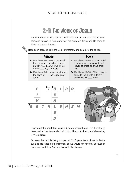# **2-B** The Work of Jesus

Humans chose to sin, but God still cared for us. He promised to send someone to save us from our sins. That person is Jesus, and He came to Earth to live as a human.

Read each passage from the Book of Matthew and complete the puzzle.

| <b>ACROSS</b>                      | <b>DOWN</b>                            |
|------------------------------------|----------------------------------------|
| 2. Matthew 20:18-19 - Jesus said   | <b>1. Matthew 14:16-20 - Jesus fed</b> |
| that He would one day be killed,   | thousands of people with just ____     |
| but He would come back to life     | loaves of bread and two small          |
| on the ____ day afterward.         | fish.                                  |
| 4. Matthew 2:1 - Jesus was born in | 3. Matthew 15:30 - When people         |
| the town of ____, in the region of | came to Jesus with different           |
| Judea.                             | problems, He ____ them.                |



Despite all the good that Jesus did, some people hated Him. Eventually, these wicked people decided to kill Him. They put Him to death by nailing Him to a cross.

But even this terrible thing was part of God's plan. Jesus chose to die for our sins. He faced our punishment so we would not have to. Because of Jesus, we can follow God and live with Him forever.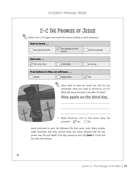| God so loved                       |                             |                                                                                                                                                                                                               |
|------------------------------------|-----------------------------|---------------------------------------------------------------------------------------------------------------------------------------------------------------------------------------------------------------|
| the planet Earth.                  | the people of the<br>world. | all the animals.                                                                                                                                                                                              |
| God sent                           |                             |                                                                                                                                                                                                               |
| His only Son.                      | a tornado.                  | an army.                                                                                                                                                                                                      |
| If we believe in Him, we will have |                             |                                                                                                                                                                                                               |
|                                    | happiness.                  |                                                                                                                                                                                                               |
| death.                             |                             | life.<br>Jesus died so that we could live. But do you<br>remember what you read in Matthew 20:19?<br>What did Jesus promise to do after He died?<br><u>Rise again on the third day</u>                        |
|                                    | promise?                    | Read Matthew 28:1-9. Did Jesus keep His<br>$\sqrt{}$ Yes<br>No<br>Jesus promised to give His followers life that never ends. Many people<br>make promises that they cannot keep, but Jesus showed that He has |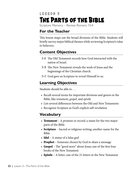# <span id="page-31-0"></span>**LESSON 3 The Parts of the Bible**

Scripture Memory – Review Romans 15:4

### **For the Teacher**

This lesson maps out the broad divisions of the Bible. Students will briefly survey major biblical themes while reviewing Scripture's value to believers.

### **Content Objectives**

- **3-A** The Old Testament records how God interacted with the nation of Israel.
- **3-B** The New Testament reveals the work of Jesus and the beginnings of the Christian church.
- **3-C** God gave us Scripture to reveal Himself to us.

### **Learning Objectives**

Students should be able to . . .

- Recall several terms for important divisions and genres in the Bible, like *testament*, *gospel*, and *epistle*
- List several differences between the Old and New Testaments
- Recognize Scripture as God's explicit self-revelation

### **Vocabulary**

- **Testament** A promise or record; a name for the two major parts of the Bible
- **Scripture** Sacred or religious writing; another name for the Bible
- **Idol** A statue of a false god
- Prophet Someone chosen by God to share a message
- Gospel The "good news" about Jesus; one of the first four books of the New Testament
- **Epistle** A letter; one of the 21 letters in the New Testament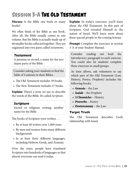# **Session 3-A The Old Testament**

**Discuss:** Is the Bible one book or many books?

We often think of the Bible as one book. After all, the Bible usually comes in one volume. But the Bible is actually made up of 66 smaller books collected together. They are organized into two parts called *testaments*.

### *Testament*

A promise or record; a name for the two major parts of the Bible

Consider asking your students to find the Table of Contents in their Bibles.

- The Old Testament includes 39 books.
- The New Testament includes 27 books.

**Explain:** There's a term we use to describe the words of the Bible. It's called *Scripture*.

### *Scripture*

Sacred or religious writing; another name for the Bible

The books of Scripture were written . . .

- By at least 40 writers over 1,000 years
- By men and women from many different backgrounds
- In at least three different languages, including Hebrew, Greek, and Aramaic

Over the years, people have translated Scripture into hundreds of languages so that almost everyone can read it today.

Explain: In today's exercises, you'll learn about the Old Testament. In this part of Scripture, God revealed Himself to the nation of Israel. We'll learn more about these special people in the coming lessons.

**Prompt:** Complete the exercises in section 3-A of your Student Manual.

Consider reading out loud the introductory paragraph to each exercise. You could also let students complete these exercises in small groups.

As time allows, ask volunteers to say which part of the Old Testament (Law, History, Poetry, Prophets) includes the following books:

- Genesis the Law
- Isaiah the Prophets
- 2 Chronicles History
- **Proverbs** Poetry
- **Deuteronomy** the Law

### **Target Truth**

The Old Testament describes God's relationship with Israel.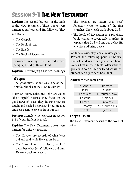# **Session 3-B The New Testament**

Explain: The second big part of the Bible is the New Testament. These books were written about Jesus and His followers. They include . . .

- The Gospels
- The Book of Acts
- The Epistles
- The Book of Revelation

Consider reading the introductory paragraph (SM p. 16) out loud.

Explain: The word *gospel* has two meanings.

### *Gospel*

The "good news" about Jesus; one of the first four books of the New Testament

Matthew, Mark, Luke, and John are called "the Gospels" because they focus on the good news of Jesus. They describe how He taught and healed people, and how He died and rose again to save us from our sins.

Prompt: Complete the exercises in section 3-B of your Student Manual.

**Explain:** The New Testament books were written for different reasons.

- The Gospels are records of what Jesus did and said while He was on Earth.
- The Book of Acts is a history book. It describes what Jesus' followers did after He went back to heaven.
- The Epistles are letters that Jesus' followers wrote to some of the first churches. They teach truth about God.
- The Book of Revelation is a prophetic book written to seven early churches. It explains that God will one day defeat His enemies and bring peace.

As time allows, play a brief review game. Present the following pairs of books, and ask students to tell you which book comes first in their Bible. Alternatively, you could hold a Bible drill and see which student can flip to each book first.

### Discuss: Which came first?

| $\blacktriangleright$ Genesis | Romans                            |
|-------------------------------|-----------------------------------|
| Mark                          | $\blacktriangleright$ Isaiah      |
| Ephesians                     | $\blacktriangleright$ Deuteronomy |
| 1 Samuel                      | $\blacktriangleright$ Exodus      |
| $\blacktriangleright$ Psalms  | Proverbs                          |
| 1 Timothy                     | ▶1 Corinthians                    |
| $\blacktriangleright$ Acts    | lames                             |

### **Target Truth**

The New Testament describes the work of Jesus.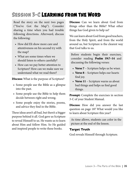# **Session 3-C Learning from the Word**

Read the story on the next two pages ("You've Got the Map"). Consider sharing a time when you had trouble following directions. Afterward, discuss the following:

- How did Eli show more care and attentiveness on his second try with the map?
- What are some times when we should listen to others carefully?
- How can we pay better attention to Scripture? How can we make sure we understand what we read there?

**Discuss:** What is the purpose of Scripture?

- Some people use the Bible as a glimpse into the past.
- Some people use the Bible to help them decide between right and wrong.
- Some people enjoy the stories, poems, and advice they find in the Bible.

These ideas aren't all bad, but there's a bigger purpose behind it all. God gave us Scripture to reveal Himself to us. He wants us to learn about Him and follow Him. So He guided and inspired people to write these books.

Discuss: Can we learn about God from things other than the Bible? What other things has God given to help us?

We can learn about God from good teachers, from the Holy Spirit, and from the world around us, but Scripture is the clearest way that God talks to us.

Before students begin their exercises, consider reading Psalm 19:7–14 and discussing the following verses:

- Verse  $7$  Scripture helps us be wiser.
- Verse 8 Scripture helps our hearts find joy.
- Verse  $11$  Scripture warns us about bad things and helps us find good things.

Prompt: Complete the exercises in section 3-C of your Student Manual.

**Discuss:** How did you answer the last question on page 18? What would you like to learn about Scripture this year?

As time allows, students can color in the picture at the end of the lesson.

### **Target Truth**

God reveals Himself through Scripture.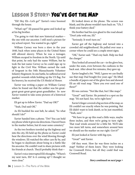# **Lesson 3 Story: You've Got the Map**

"Eli! Hey Eli—Let's go!" Xavier's voice boomed through the house.

"What's up?" Eli paused his game and looked up at his big brother.

"I'm going to visit that new historical marker the one with our ancestor. I still need a picture for my school report. You wanted to go, right?"

William Carney was born a slave in the year 1840, back when some places in the United States still allowed slavery. When he was a teenager, William escaped to freedom in the North. Up until that point, he only had the name *William*, but he took the last name *Carney* so he could sign up to fight in the Civil War. William earned the rank of Sergeant in the 54th Massachusetts Volunteer Infantry Regiment. In one battle, he suffered several gunshot wounds while holding up the US flag. For his bravery, he received the US Medal of Honor.

Xavier was writing a paper on William Carney when he found out that the soldier was his greatgreat-great-great-great-great-grandfather. So now Xavier wanted to take some pictures of a historical marker.

Eli got up to follow Xavier. "Dad say OK?"

"Yeah, Dad said OK."

As Eli buckled his seat belt, he asked, "So what should I do?"

Xavier handed him a phone. "Do? You can hold my phone while it gives me directions. I haven't been to the marker before, but it's near some cemetery."

As the two brothers traveled up the highway and into the city, Eli held up the phone so Xavier could hear the directions over the wind blowing through the windows. Eli watched the other cars fly by, and he began to daydream about being in a battle like his ancestor. He couldn't wait to share pictures with his friends at church. They'd probably think that—

Xavier's voice interrupted Eli's thoughts. "Where's my next turn, Eli? Is it coming up? I thought we were close."

Eli looked down at the phone. The screen was blank, and the phone wouldn't turn back on. "Uh, I think your battery died."

His brother had his eyes glued to the road ahead. "Don't joke with me, Eli."

"Seriously. It won't turn on."

Xavier got off the highway and turned into a crowded old neighborhood. He pulled over near a corner where he could see a couple street signs.

"OK," Xavier said. "That's my fault. Help me find the charger."

They looked all around the car—in the glove box, under the seats, even between the cushions in the back seat. After about five minutes, they gave up.

Xavier laughed a bit. "Well, I guess we can finally use that map Dad bought five years ago." He lifted a bundle of papers out of the glove box and showed Eli an old road map. "Have you ever used one of these?"

Eli was curious. "Not like that, but I like maps."

"Great!" said Xavier. He pointed to a spot on the map. "It's not hard. See, we're right here."

Xavier's finger covered a big section of the map, so Eli couldn't see exactly where he was pointing. But Eli didn't want to look dumb, so he just mumbled, "Yeah, sure."

"We have to go up this road a little ways, maybe three inches, and then we're going to turn right. That road winds around for a little bit. We'll take two more left turns, and somewhere around here we should see the marker on our right. Got it?"

Eli just looked at Xavier with big eyes.

"Great!" said Xavier.

Off they went. How far was three inches on a map? Neither of them knew. They were looking for Cromwell Drive, but all they could find was Cromwell Road.

*Story continued on next page »*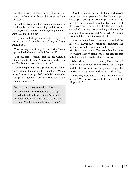As they drove, Eli saw a little girl riding her tricycle in front of her house. Eli waved, and she stared back.

Eli had no idea where they were on the map. He could barely read the tiny writing, and it had been too long since Xavier explained anything. Eli didn't want to ask for help now.

They saw the little girl on the tricycle again. Eli waved. The third time they passed her, she finally waved back.

"Stop waving at the little girl!" said Xavier. "You're supposed to be helping me find Cromwell."

"I'm just being friendly," said Eli. He waited a minute, then finally said. "I have no idea where we are. I've forgotten everything you said."

Xavier stopped at a stop sign and stared at Eli for a long minute. Then he burst out laughing. "Want a burger? I want a burger. We'll both feel better after a burger. Let's get lunch over there and look at the map one more time."

Pause a moment to discuss the following:

- Why did Eli have trouble with the map? What kept him from helping Xavier well?
- How could Eli do better with the map next time? What advice would you give him?

Once they had sat down with their food, Xavier spread the road map out on the table. He took a pen and began marking their route again. This time, he took his time and made sure that Eli could repeat the directions back to him. Eli listened closely and asked questions. After looking at the map for a while, they realized that Cromwell Drive and Cromwell Road were the same street.

Twenty minutes later, Xavier and Eli reached the historical marker just outside the cemetery. The brothers walked around and took a few pictures with Dad's nice camera. They even found a statue of William Carney, along with some plaques that talked about other soldiers buried nearby.

When they got back to the car, Xavier decided to throw his back pack into the trunk. There, right next to the tire iron, was the phone charger. Eli snorted, Xavier grinned, and neither said a thing.

Once they were out of the city, Eli finally had to say, "Well, at least we made friends with little tricycle girl!"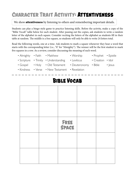# **Character Trait Activity: Attentiveness**

### We show **attentiveness** by listening to others and remembering important details.

Students can play a bingo-style game to practice listening skills. Before the activity, make a copy of the "Bible Vocab" table below for each student. After passing out the copies, ask students to write a random letter of the alphabet in each square. Consider reciting the letters of the alphabet as students fill in their table at random. The middle is a free square, so students will only be able to write 24 letters total.

Read the following words, one at a time. Ask students to mark a square whenever they hear a word that starts with the corresponding letter (i.e., "A" for "Almighty"). The winner will be the first student to mark five squares in a row. As a review, consider discussing the meaning of each word.

- Almighty Faith Matthew Worship Prophet Epistle
- Scripture Trinity Understanding Leviticus Creation Idol
	-
	-
- Gospel Holy Old Testament Deuteronomy Bible Jesus
- Kindness Verse New Testament Revelation

### **Bible Vocab**

|  | <b>FREE</b><br>SPACE |  |
|--|----------------------|--|
|  |                      |  |
|  |                      |  |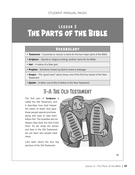# LESSON 3 **The Parts of the Bible**

### **Voc abular y**

- *Testament* A promise or record; a name for the two major parts of the Bible
- *Scripture* Sacred or religious writing; another name for the Bible
- *Idol* A statue of a false god
- *Prophet* Someone chosen by God to share a message
- *Gospel* The "good news" about Jesus; one of the first four books of the New **Testament**
- *Epistle* A letter; one of the 21 letters in the New Testament

# **3-A** The Old Testament

The first part of *Scripture* is called the Old Testament, and it describes how God helped the nation of Israel. God gave these people special promises, along with laws to help them follow Him. The Israelites did not always obey God, but God loved them. As we study the stories and laws in the Old Testament, we can learn why people need Jesus.

Let's learn about the four big sections of the Old Testament.

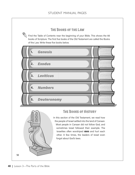### **The Books of the Law**

 $\parallel$  Find the Table of Contents near the beginning of your Bible. This shows the 66 books of Scripture. The first five books of the Old Testament are called the Books of the Law. Write these five books below.



### **The Books of History**

In this section of the Old Testament, we read how the people of Israel settled into the land of Canaan. Most people in Canaan did not follow God, and sometimes Israel followed their example. The Israelites often worshiped *idols* and hurt each other. A few times, the leaders of Israel even forgot about God's laws.

**14**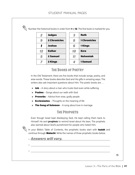Number the historical books in order from 1 to 12. The first book is marked for you.

| 2  | <b>Judges</b>       | 3  | <b>Ruth</b>         |
|----|---------------------|----|---------------------|
| 9  | <b>2 Chronicles</b> | 8  | <b>1 Chronicles</b> |
|    | <b>Joshua</b>       | 6  | 1 Kings             |
| 12 | <b>Esther</b>       | 10 | <b>Ezra</b>         |
| 5  | <b>2 Samuel</b>     | 11 | <b>Nehemiah</b>     |
|    | 2 Kings             |    | <b>1 Samuel</b>     |

### **The Books of Poetry**

In the Old Testament, there are five books that include songs, poetry, and wise words. These books describe God and His gifts in amazing ways. The writers also ask important questions about Him. The poetic books are ...

- **◉** Job A story about a man who trusts God even while suffering
- **◉** Psalms Songs about our walk with God
- **◉** Proverbs Advice from wise, godly people
- **◉** Ecclesiastes Thoughts on the meaning of life
- **◉** The Song of Solomon A song about love in marriage

### **The Prophets**

Even though Israel kept disobeying God, He kept calling them back to Himself. He sent *prophets* to remind Israel about His laws. The prophets also warned about God's punishment for people who hated Him.

In your Bible's Table of Contents, the prophetic books start with Isaiah and continue through **Malachi**. Write the names of three prophetic books below.

**◉** *Answers will vary.* 

**◉**

**◉**

**15**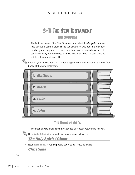# **3-B** The New Testament

**The Gospels**

The first four books of the New Testament are called the *Gospels*. Here we read about the coming of Jesus, the Son of God. He was born in Bethlehem as a baby, and He grew up to teach and heal people. He died on a cross to pay for our sins, but three days later, He rose again. Each Gospel gives us a different picture of Jesus' life.

Look at your Bible's Table of Contents again. Write the names of the first four books of the New Testament.

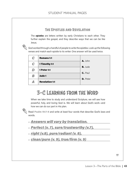### **The Epistles and Revelation**

The *epistles* are letters written by early Christians to each other. They further explain the gospel, and they describe ways that we can be like Jesus.

God worked through a handful of people to write the epistles. Look up the following verses and match each epistle to its writer. One answer will be used twice.

| C | <b>Romans 1:1</b>     | A. John         |
|---|-----------------------|-----------------|
| C | 1 Timothy 1:1         |                 |
| D | <b>1 Peter 1:1</b>    | <b>B.</b> Jude  |
| B | Jude 1                | C. Paul         |
|   | <b>Revelation 1:1</b> | <b>D.</b> Peter |

### **3-C** Learning from the Word

When we take time to study and understand Scripture, we will see how powerful, holy, and loving God is. We will learn about God's work—and how we can do our part in His plan.

Read Psalm 19:7-9 and write at least four words that describe God's laws and words.

- **◉** *Answers will vary by translation.*
- **◉** *Perfect (v. 7), sure/trustworthy (v.7),*
- **◉** *right (v.8), pure/radiant (v. 8),*
- **◉** *clean/pure (v. 9), true/firm (v. 9)*

**17**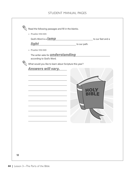### STUDENT MANUAL PAGES